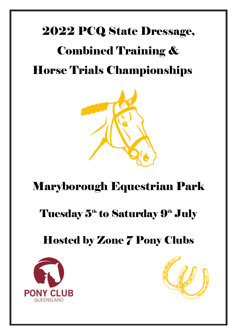## 2022 PCQ State Dressage,

# Combined Training & Horse Trials Championships



## Maryborough Equestrian Park

### Tuesday 5<sup>th</sup> to Saturday 9<sup>th</sup> July

## Hosted by Zone 7 Pony Clubs



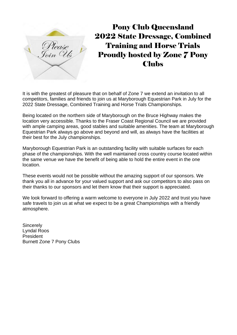

Pony Club Queensland 2022 State Dressage, Combined Training and Horse Trials Proudly hosted by Zone 7 Pony Clubs

It is with the greatest of pleasure that on behalf of Zone 7 we extend an invitation to all competitors, families and friends to join us at Maryborough Equestrian Park in July for the 2022 State Dressage, Combined Training and Horse Trials Championships.

Being located on the northern side of Maryborough on the Bruce Highway makes the location very accessible. Thanks to the Fraser Coast Regional Council we are provided with ample camping areas, good stables and suitable amenities. The team at Maryborough Equestrian Park always go above and beyond and will, as always have the facilities at their best for the July championships.

Maryborough Equestrian Park is an outstanding facility with suitable surfaces for each phase of the championships. With the well maintained cross country course located within the same venue we have the benefit of being able to hold the entire event in the one location.

These events would not be possible without the amazing support of our sponsors. We thank you all in advance for your valued support and ask our competitors to also pass on their thanks to our sponsors and let them know that their support is appreciated.

We look forward to offering a warm welcome to everyone in July 2022 and trust you have safe travels to join us at what we expect to be a great Championships with a friendly atmosphere.

**Sincerely** Lyndal Roos President Burnett Zone 7 Pony Clubs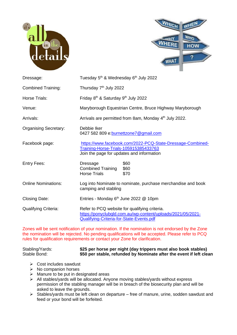



| Dressage:                    | Tuesday 5 <sup>th</sup> & Wednesday 6 <sup>th</sup> July 2022                                                                                            |  |  |  |  |  |  |  |
|------------------------------|----------------------------------------------------------------------------------------------------------------------------------------------------------|--|--|--|--|--|--|--|
| <b>Combined Training:</b>    | Thursday 7 <sup>th</sup> July 2022                                                                                                                       |  |  |  |  |  |  |  |
| Horse Trials:                | Friday 8 <sup>th</sup> & Saturday 9 <sup>th</sup> July 2022                                                                                              |  |  |  |  |  |  |  |
| Venue:                       | Maryborough Equestrian Centre, Bruce Highway Maryborough                                                                                                 |  |  |  |  |  |  |  |
| Arrivals:                    | Arrivals are permitted from 8am, Monday 4 <sup>th</sup> July 2022.                                                                                       |  |  |  |  |  |  |  |
| <b>Organising Secretary:</b> | Debbie Iker<br>0427 582 809 e: burnettzone7@gmail.com                                                                                                    |  |  |  |  |  |  |  |
| Facebook page:               | https://www.facebook.com/2022-PCQ-State-Dressage-Combined-<br>Training-Horse-Trials-105915385433763<br>Join the page for updates and information         |  |  |  |  |  |  |  |
| <b>Entry Fees:</b>           | \$60<br>Dressage<br><b>Combined Training</b><br>\$60<br><b>Horse Trials</b><br>\$70                                                                      |  |  |  |  |  |  |  |
| <b>Online Nominations:</b>   | Log into Nominate to nominate, purchase merchandise and book<br>camping and stabling                                                                     |  |  |  |  |  |  |  |
| <b>Closing Date:</b>         | Entries - Monday 6 <sup>th</sup> June 2022 @ 10pm                                                                                                        |  |  |  |  |  |  |  |
| <b>Qualifying Criteria:</b>  | Refer to PCQ website for qualifying criteria.<br>https://ponyclubqld.com.au/wp-content/uploads/2021/05/2021-<br>Qualifying-Criteria-for-State-Events.pdf |  |  |  |  |  |  |  |

Zones will be sent notification of your nomination. If the nomination is not endorsed by the Zone the nomination will be rejected. No pending qualifications will be accepted. Please refer to PCQ rules for qualification requirements or contact your Zone for clarification.

Stabling/Yards: **\$25 per horse per night (day trippers must also book stables)** \$50 per stable, refunded by Nominate after the event if left clean

- ➢ Cost includes sawdust
- ➢ No companion horses
- $\triangleright$  Manure to be put in designated areas
- ➢ All stables/yards will be allocated. Anyone moving stables/yards without express permission of the stabling manager will be in breach of the biosecurity plan and will be asked to leave the grounds.
- ➢ Stables/yards must be left clean on departure free of manure, urine, sodden sawdust and feed or your bond will be forfeited.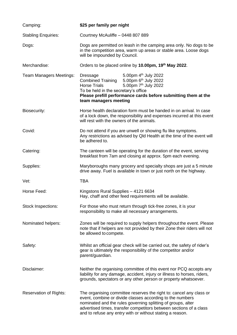| Camping:                      | \$25 per family per night                                                                                                                                                                                                                                                                                                           |
|-------------------------------|-------------------------------------------------------------------------------------------------------------------------------------------------------------------------------------------------------------------------------------------------------------------------------------------------------------------------------------|
| <b>Stabling Enquiries:</b>    | Courtney McAuliffe - 0448 807 889                                                                                                                                                                                                                                                                                                   |
| Dogs:                         | Dogs are permitted on leash in the camping area only. No dogs to be<br>in the competition area, warm up areas or stable area. Loose dogs<br>will be impounded by Council.                                                                                                                                                           |
| Merchandise:                  | Orders to be placed online by 10.00pm, 19th May 2022.                                                                                                                                                                                                                                                                               |
| Team Managers Meetings:       | 5.00pm 4 <sup>th</sup> July 2022<br>Dressage<br>5.00pm 6 <sup>th</sup> July 2022<br><b>Combined Training</b><br>5.00pm 7 <sup>th</sup> July 2022<br><b>Horse Trials</b><br>To be held in the secretary's office<br>Please prefill performance cards before submitting them at the<br>team managers meeting                          |
| Biosecurity:                  | Horse health declaration form must be handed in on arrival. In case<br>of a lock down, the responsibility and expenses incurred at this event<br>will rest with the owners of the animals.                                                                                                                                          |
| Covid:                        | Do not attend if you are unwell or showing flu like symptoms.<br>Any restrictions as advised by Qld Health at the time of the event will<br>be adhered to.                                                                                                                                                                          |
| Catering:                     | The canteen will be operating for the duration of the event, serving<br>breakfast from 7am and closing at approx. 5pm each evening.                                                                                                                                                                                                 |
| Supplies:                     | Maryboroughs many grocery and specialty shops are just a 5 minute<br>drive away. Fuel is available in town or just north on the highway.                                                                                                                                                                                            |
| Vet:                          | <b>TBA</b>                                                                                                                                                                                                                                                                                                                          |
| Horse Feed:                   | Kingstons Rural Supplies - 4121 6634<br>Hay, chaff and other feed requirements will be available.                                                                                                                                                                                                                                   |
| Stock Inspections:            | For those who must return through tick-free zones, it is your<br>responsibility to make all necessary arrangements.                                                                                                                                                                                                                 |
| Nominated helpers:            | Zones will be required to supply helpers throughout the event. Please<br>note that if helpers are not provided by their Zone their riders will not<br>be allowed to compete.                                                                                                                                                        |
| Safety:                       | Whilst an official gear check will be carried out, the safety of rider's<br>gear is ultimately the responsibility of the competitor and/or<br>parent/guardian.                                                                                                                                                                      |
| Disclaimer:                   | Neither the organising committee of this event nor PCQ accepts any<br>liability for any damage, accident, injury or illness to horses, riders,<br>grounds, spectators or any other person or property whatsoever.                                                                                                                   |
| <b>Reservation of Rights:</b> | The organising committee reserves the right to: cancel any class or<br>event, combine or divide classes according to the numbers<br>nominated and the rules governing splitting of groups, alter<br>advertised times, transfer competitors between sections of a class<br>and to refuse any entry with or without stating a reason. |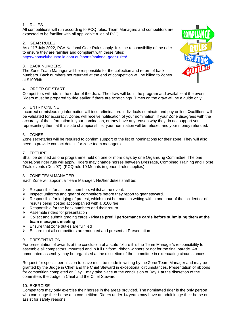#### 1. RULES

All competitions will run according to PCQ rules. Team Managers and competitors are expected to be familiar with all applicable rules of PCQ.

#### 2. GEAR RULES

As of 1<sup>st</sup> July 2022, PCA National Gear Rules apply. It is the responsibility of the rider to ensure they are familiar and compliant with these rules: https://ponyclubaustralia.com.au/sports/national-gear-rules/

#### 3. BACK NUMBERS

The Zone Team Manager will be responsible for the collection and return of back numbers. Back numbers not returned at the end of competition will be billed to Zones at \$100/bib.

#### 4. ORDER OF START

Competitors will ride in the order of the draw. The draw will be in the program and available at the event. Riders must be prepared to ride earlier if there are scratchings. Times on the draw will be a guide only.

#### 5. ENTRY ONLINE

Incorrect or misleading information will incur elimination. Individuals nominate and pay online. Qualifier's will be validated for accuracy. Zones will receive notification of your nomination. If your Zone disagrees with the accuracy of the information in your nomination, or they have any reason why they do not support you representing them at this state championships, your nomination will be refused and your money refunded.

#### 6. ZONES

Zone secretaries will be required to confirm support of the list of nominations for their zone. They will also need to provide contact details for zone team managers.

#### 7. FIXTURE

Shall be defined as one programme held on one or more days by one Organising Committee. The one horse/one rider rule will apply. Riders may change horses between Dressage, Combined Training and Horse Trials events (Dec 97). (PCQ rule 19 Mounts in general rules applies)

#### 8. ZONE TEAM MANAGER

Each Zone will appoint a Team Manager. His/her duties shall be:

- $\triangleright$  Responsible for all team members whilst at the event.
- $\triangleright$  Inspect uniforms and gear of competitors before they report to gear steward.
- $\triangleright$  Responsible for lodging of protest, which must be made in writing within one hour of the incident or of results being posted accompanied with a \$100 fee
- $\triangleright$  Responsible for the back numbers and their return
- ➢ Assemble riders for presentation
- ➢ Collect and submit grading cards **Please prefill performance cards before submitting them at the team managers meeting**
- $\triangleright$  Ensure that zone duties are fulfilled
- ➢ Ensure that all competitors are mounted and present at Presentation

#### 9. PRESENTATION

For presentation of awards at the conclusion of a state fixture it is the Team Manager's responsibility to assemble all competitors, mounted and in full uniform, ribbon winners or not for the final parade. An unmounted assembly may be organised at the discretion of the committee in extenuating circumstances.

Request for special permission to leave must be made in writing by the Zone Team Manager and may be granted by the Judge in Chief and the Chief Steward in exceptional circumstances, Presentation of ribbons for competition completed on Day 1 may take place at the conclusion of Day 1 at the discretion of the committee, the Judge in Chief and the Chief Steward.

#### 10. EXERCISE

Competitors may only exercise their horses in the areas provided. The nominated rider is the only person who can lunge their horse at a competition. Riders under 14 years may have an adult lunge their horse or assist for safety reasons.

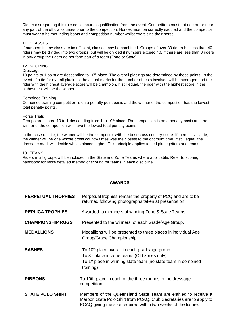Riders disregarding this rule could incur disqualification from the event. Competitors must not ride on or near any part of the official courses prior to the competition. Horses must be correctly saddled and the competitor must wear a helmet, riding boots and competition number whilst exercising their horse.

#### 11. CLASSES

If numbers in any class are insufficient, classes may be combined. Groups of over 30 riders but less than 40 riders may be divided into two groups, but will be divided if numbers exceed 40. If there are less than 3 riders in any group the riders do not form part of a team (Zone or State).

#### 12. SCORING

#### Dressage

10 points to 1 point are descending to 10<sup>th</sup> place. The overall placings are determined by these points. In the event of a tie for overall placings, the actual marks for the number of tests involved will be averaged and the rider with the highest average score will be champion. If still equal, the rider with the highest score in the highest test will be the winner.

#### Combined Training

Combined training competition is on a penalty point basis and the winner of the competition has the lowest total penalty points.

#### Horse Trials

Groups are scored 10 to 1 descending from 1 to  $10<sup>th</sup>$  place. The competition is on a penalty basis and the winner of the competition will have the lowest total penalty points.

In the case of a tie, the winner will be the competitor with the best cross country score. If there is still a tie, the winner will be one whose cross country times was the closest to the optimum time. If still equal, the dressage mark will decide who is placed higher. This principle applies to tied placegetters and teams.

#### 13. TEAMS

Riders in all groups will be included in the State and Zone Teams where applicable. Refer to scoring handbook for more detailed method of scoring for teams in each discipline.

#### **AWARDS**

| <b>PERPETUAL TROPHIES</b> | Perpetual trophies remain the property of PCQ and are to be<br>returned following photographs taken at presentation.                                                                                           |
|---------------------------|----------------------------------------------------------------------------------------------------------------------------------------------------------------------------------------------------------------|
| <b>REPLICA TROPHIES</b>   | Awarded to members of winning Zone & State Teams.                                                                                                                                                              |
| <b>CHAMPIONSHIP RUGS</b>  | Presented to the winners of each Grade/Age Group.                                                                                                                                                              |
| <b>MEDALLIONS</b>         | Medallions will be presented to three places in individual Age<br>Group/Grade Championship.                                                                                                                    |
| <b>SASHES</b>             | To 10 <sup>th</sup> place overall in each grade/age group<br>To 3 <sup>rd</sup> place in zone teams (Qld zones only)<br>To 1 <sup>st</sup> place in winning state team (no state team in combined<br>training) |
| <b>RIBBONS</b>            | To 10th place in each of the three rounds in the dressage<br>competition.                                                                                                                                      |
| <b>STATE POLO SHIRT</b>   | Members of the Queensland State Team are entitled to receive a<br>Maroon State Polo Shirt from PCAQ. Club Secretaries are to apply to<br>PCAQ giving the size required within two weeks of the fixture.        |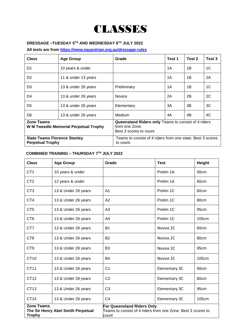### **CLASSES**

#### **DRESSAGE –TUESDAY 5 TH AND WEDNESDAY 6TH JULY 2022**

**All tests are from https://www.equestrian.org.au/dressage-rules**

| <b>Class</b>            | <b>Age Group</b>                                                                                               | Grade                                                                                           | Test 1 | Test 2 | Test 3         |
|-------------------------|----------------------------------------------------------------------------------------------------------------|-------------------------------------------------------------------------------------------------|--------|--------|----------------|
| D <sub>1</sub>          | 10 years & under                                                                                               |                                                                                                 | 1A     | 1B     | 1 <sup>C</sup> |
| D <sub>2</sub>          | 11 & under 13 years                                                                                            |                                                                                                 | 1A     | 1B     | 2A             |
| D <sub>3</sub>          | 13 & under 26 years                                                                                            | Preliminary                                                                                     | 1A     | 1B     | 1C             |
| D4                      | 13 & under 26 years                                                                                            | <b>Novice</b>                                                                                   | 2A     | 2B     | 2C             |
| D <sub>5</sub>          | 13 & under 26 years                                                                                            | Elementary                                                                                      | 3A     | 3B     | 3C             |
| D <sub>6</sub>          | 13 & under 26 years                                                                                            | Medium                                                                                          | 4A     | 4B     | 4C             |
| <b>Zone Teams</b>       | W M Tweedle Memorial Perpetual Trophy                                                                          | Queensland Riders only Teams to consist of 4 riders<br>from one Zone.<br>Best 3 scores to count |        |        |                |
| <b>Perpetual Trophy</b> | Teams to consist of 4 riders from one state. Best 3 scores<br><b>State Teams Florence Stanley</b><br>to count. |                                                                                                 |        |        |                |

#### **COMBINED TRAINING – THURSDAY 7TH JULY 2022**

| <b>Class</b>                       | <b>Age Group</b>                   | Grade                                                                                                      | <b>Test</b>   | Height |  |
|------------------------------------|------------------------------------|------------------------------------------------------------------------------------------------------------|---------------|--------|--|
| CT <sub>1</sub>                    | 10 years & under                   |                                                                                                            | Prelim 1A     | 50cm   |  |
| CT <sub>2</sub>                    | 12 years & under                   |                                                                                                            | Prelim 1A     | 60cm   |  |
| CT <sub>3</sub>                    | 13 & Under 26 years                | A <sub>1</sub>                                                                                             | Prelim 1C     | 60cm   |  |
| CT4                                | 13 & Under 26 years                | A2                                                                                                         | Prelim 1C     | 80cm   |  |
| CT <sub>5</sub>                    | 13 & Under 26 years                | A <sub>3</sub>                                                                                             | Prelim 1C     | 95cm   |  |
| CT <sub>6</sub>                    | 13 & Under 26 years                | A4                                                                                                         | Prelim 1C     | 105cm  |  |
| CT7                                | 13 & Under 26 years                | <b>B1</b>                                                                                                  | Novice 2C     | 60cm   |  |
| CT <sub>8</sub>                    | 13 & Under 26 years                | <b>B2</b>                                                                                                  | Novice 2C     | 80cm   |  |
| CT <sub>9</sub>                    | 13 & Under 26 years                | B <sub>3</sub>                                                                                             | Novice 2C     | 95cm   |  |
| CT10                               | 13 & Under 26 years                | <b>B4</b>                                                                                                  | Novice 2C     | 105cm  |  |
| CT11                               | 13 & Under 26 years                | C <sub>1</sub>                                                                                             | Elementary 3C | 60cm   |  |
| CT12                               | 13 & Under 26 years                | C <sub>2</sub>                                                                                             | Elementary 3C | 80cm   |  |
| CT13                               | 13 & Under 26 years                | C <sub>3</sub>                                                                                             | Elementary 3C | 95cm   |  |
| CT <sub>14</sub>                   | 13 & Under 26 years                | C <sub>4</sub>                                                                                             | Elementary 3C | 105cm  |  |
| <b>Zone Teams</b><br><b>Trophy</b> | The Sir Henry Abel Smith Perpetual | <b>For Queensland Riders Only</b><br>Teams to consist of 4 riders from one Zone. Best 3 scores to<br>count |               |        |  |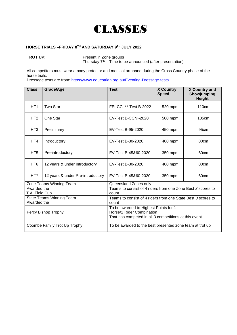

#### **HORSE TRIALS –FRIDAY 8 TH AND SATURDAY 9TH JULY 2022**

**TROT UP:** Present in Zone groups

Thursday  $7<sup>th</sup>$  – Time to be announced (after presentation)

All competitors must wear a body protector and medical armband during the Cross Country phase of the horse trials.

Dressage tests are from: https://www.equestrian.org.au/Eventing-Dressage-tests

| <b>Class</b>                                                                                                                                        | Grade/Age                         | <b>Test</b>                                                                                   | <b>X Country</b><br><b>Speed</b> | X Country and<br>Showjumping<br><b>Height</b> |  |  |  |
|-----------------------------------------------------------------------------------------------------------------------------------------------------|-----------------------------------|-----------------------------------------------------------------------------------------------|----------------------------------|-----------------------------------------------|--|--|--|
| HT <sub>1</sub>                                                                                                                                     | Two Star                          | FEI-CCI-**-Test B-2022                                                                        | 520 mpm                          | 110 <sub>cm</sub>                             |  |  |  |
| HT <sub>2</sub>                                                                                                                                     | One Star                          | EV-Test B-CCNI-2020                                                                           | 500 mpm                          | 105cm                                         |  |  |  |
| HT <sub>3</sub>                                                                                                                                     | Preliminary                       | EV-Test B-95-2020                                                                             | 450 mpm                          | 95cm                                          |  |  |  |
| HT4                                                                                                                                                 | Introductory                      | EV-Test B-80-2020                                                                             | 400 mpm                          | 80cm                                          |  |  |  |
| HT <sub>5</sub>                                                                                                                                     | Pre-introductory                  | EV-Test B-45&60-2020                                                                          | 350 mpm                          | 60cm                                          |  |  |  |
| HT <sub>6</sub>                                                                                                                                     | 12 years & under Introductory     | EV-Test B-80-2020                                                                             | 400 mpm                          | 80cm                                          |  |  |  |
| HT7                                                                                                                                                 | 12 years & under Pre-introductory | EV-Test B-45&60-2020                                                                          | 350 mpm                          | 60cm                                          |  |  |  |
| Awarded the<br>T.A. Field Cup                                                                                                                       | Zone Teams Winning Team           | Queensland Zones only<br>Teams to consist of 4 riders from one Zone Best 3 scores to<br>count |                                  |                                               |  |  |  |
| Awarded the                                                                                                                                         | <b>State Teams Winning Team</b>   | Teams to consist of 4 riders from one State Best 3 scores to<br>count                         |                                  |                                               |  |  |  |
| To be awarded to Highest Points for 1<br>Horse/1 Rider Combination<br>Percy Bishop Trophy<br>That has competed in all 3 competitions at this event. |                                   |                                                                                               |                                  |                                               |  |  |  |
|                                                                                                                                                     | Coombe Family Trot Up Trophy      | To be awarded to the best presented zone team at trot up                                      |                                  |                                               |  |  |  |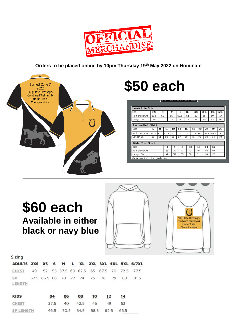

**Orders to be placed online by 10pm Thursday 19th May 2022 on Nominate**



# **\$50 each**

| Men's Polo Shirt                  |      |      |      |    |      |          |    |      |     |    |      |      |      |
|-----------------------------------|------|------|------|----|------|----------|----|------|-----|----|------|------|------|
| Size                              | XS   | s    |      | м  | L    |          | XL |      | 2XL |    | 3XL  | 4XL  | 5XL  |
| Half chest CM                     | 50.5 | 53   |      | 56 | 58.5 |          | 61 |      | 63  |    | 66   | 69   | 73   |
| Length CM                         | 68   | 70   |      | 72 | 74   |          | 76 |      | 78  |    | 80   | 82   | 84   |
|                                   |      |      |      |    |      |          |    |      |     |    |      |      |      |
| Ladies Polo Shirt                 |      |      |      |    |      |          |    |      |     |    |      |      |      |
| Size                              | 6    | 8    | 10   | 12 | 14   | 16       |    | 18   |     | 20 | 22   | 24   | 26   |
| Half chest CM                     | 42.5 | 45.5 | 47.5 | 50 | 52   | 55       |    | 57.5 |     | 60 | 64.5 | 69.5 | 74.5 |
| Length CM                         | 59   | 61   | 63   | 65 | 67   | 69       |    | 71   |     | 72 | 73   | 74   | 74   |
|                                   |      |      |      |    |      |          |    |      |     |    |      |      |      |
| Kids Polo Shirt                   |      |      |      |    |      |          |    |      |     |    |      |      |      |
| Size                              |      |      | 4    | 6  | 8    |          |    | 10   |     | 12 | 14   | 16   |      |
| Half chest CM                     |      |      | 36   | 39 | 41   |          | 43 |      |     | 45 | 48   | 49   |      |
| Length CM                         |      |      | 49   | 52 |      | 55<br>58 |    |      | 61  |    | 64   | 67   |      |
| Variations $+$ / - 1cm quide only |      |      |      |    |      |          |    |      |     |    |      |      |      |

### **\$60 each Available in either black or navy blue**





Sizing

| ADULTS 2XS XS S M L XL 2XL 3XL 4XL 5XL 6/7XL     |  |  |  |  |  |  |
|--------------------------------------------------|--|--|--|--|--|--|
| CHEST 49 52 55 57.5 60 62.5 65 67.5 70 72.5 77.5 |  |  |  |  |  |  |
| SP 62.5 66.5 68 70 72 74 76 78 79 80 81.5        |  |  |  |  |  |  |
| LENGTH                                           |  |  |  |  |  |  |

| <b>KIDS</b>      | 04<br> | 06<br> | 08<br> | 10<br> | 12<br> | 14<br> |  |
|------------------|--------|--------|--------|--------|--------|--------|--|
| <b>CHEST</b>     | 37.5   | 40     | 42.5   | 45     | 49     | 52     |  |
| <b>SP LENGTH</b> | 46.5   | 50.5   | 54.5   | 58.5   | 62.5   | 66.5   |  |